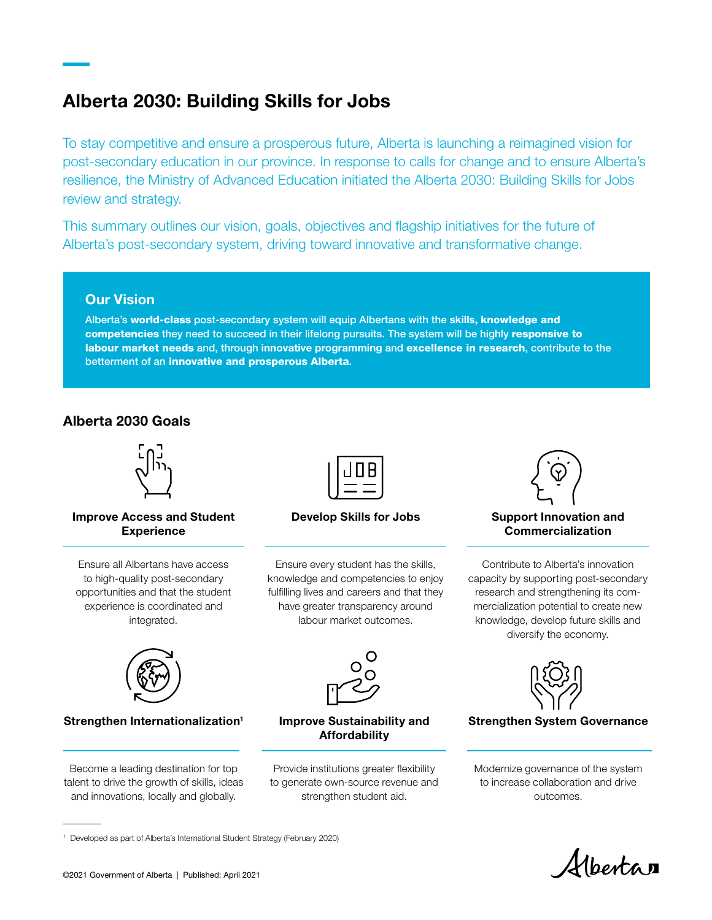## Alberta 2030: Building Skills for Jobs

To stay competitive and ensure a prosperous future, Alberta is launching a reimagined vision for post-secondary education in our province. In response to calls for change and to ensure Alberta's resilience, the Ministry of Advanced Education initiated the Alberta 2030: Building Skills for Jobs review and strategy.

This summary outlines our vision, goals, objectives and flagship initiatives for the future of Alberta's post-secondary system, driving toward innovative and transformative change.

## Our Vision

Alberta's world-class post-secondary system will equip Albertans with the skills, knowledge and competencies they need to succeed in their lifelong pursuits. The system will be highly responsive to labour market needs and, through innovative programming and excellence in research, contribute to the betterment of an innovative and prosperous Alberta.

## Alberta 2030 Goals



#### Improve Access and Student **Experience**

Ensure all Albertans have access to high-quality post-secondary opportunities and that the student experience is coordinated and integrated.



#### Develop Skills for Jobs

Ensure every student has the skills, knowledge and competencies to enjoy fulfilling lives and careers and that they have greater transparency around labour market outcomes.



#### Support Innovation and Commercialization

Contribute to Alberta's innovation capacity by supporting post-secondary research and strengthening its commercialization potential to create new knowledge, develop future skills and diversify the economy.



#### Strengthen Internationalization<sup>1</sup>

Become a leading destination for top talent to drive the growth of skills, ideas and innovations, locally and globally.



#### Improve Sustainability and Affordability

Provide institutions greater flexibility to generate own-source revenue and strengthen student aid.



Strengthen System Governance

Modernize governance of the system to increase collaboration and drive outcomes.

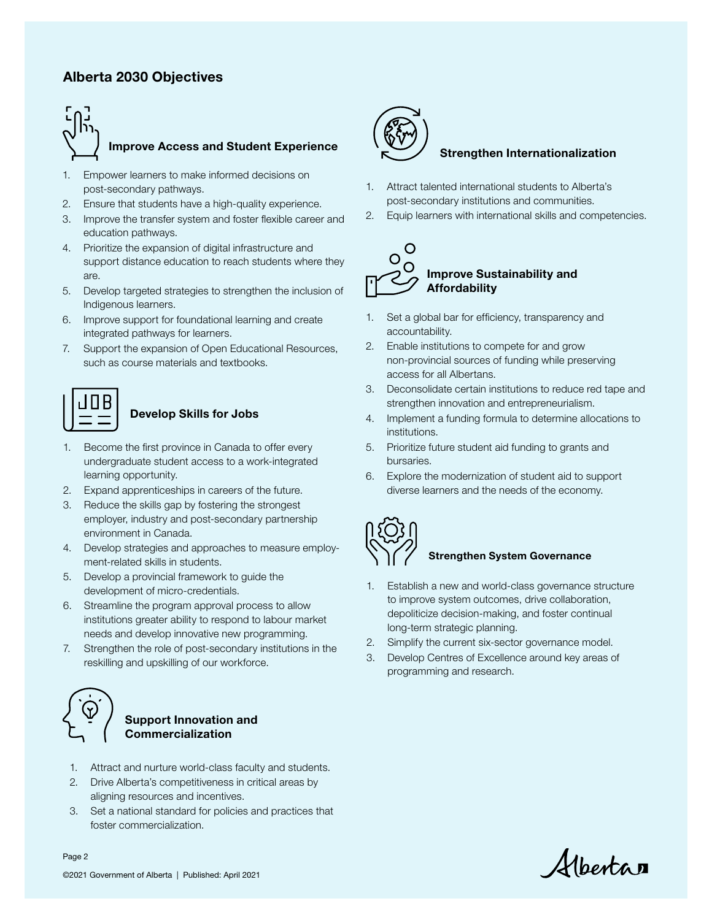## Alberta 2030 Objectives



#### Improve Access and Student Experience

- 1. Empower learners to make informed decisions on post-secondary pathways.
- 2. Ensure that students have a high-quality experience.
- 3. Improve the transfer system and foster flexible career and education pathways.
- 4. Prioritize the expansion of digital infrastructure and support distance education to reach students where they are.
- 5. Develop targeted strategies to strengthen the inclusion of Indigenous learners.
- 6. Improve support for foundational learning and create integrated pathways for learners.
- 7. Support the expansion of Open Educational Resources, such as course materials and textbooks.



#### Develop Skills for Jobs

- 1. Become the first province in Canada to offer every undergraduate student access to a work-integrated learning opportunity.
- 2. Expand apprenticeships in careers of the future.
- 3. Reduce the skills gap by fostering the strongest employer, industry and post-secondary partnership environment in Canada.
- 4. Develop strategies and approaches to measure employment-related skills in students.
- 5. Develop a provincial framework to guide the development of micro-credentials.
- 6. Streamline the program approval process to allow institutions greater ability to respond to labour market needs and develop innovative new programming.
- 7. Strengthen the role of post-secondary institutions in the reskilling and upskilling of our workforce.



#### Support Innovation and Commercialization

- 1. Attract and nurture world-class faculty and students.
- 2. Drive Alberta's competitiveness in critical areas by aligning resources and incentives.
- 3. Set a national standard for policies and practices that foster commercialization.



#### Strengthen Internationalization

- 1. Attract talented international students to Alberta's post-secondary institutions and communities.
- 2. Equip learners with international skills and competencies.



- 1. Set a global bar for efficiency, transparency and accountability.
- 2. Enable institutions to compete for and grow non-provincial sources of funding while preserving access for all Albertans.
- 3. Deconsolidate certain institutions to reduce red tape and strengthen innovation and entrepreneurialism.
- 4. Implement a funding formula to determine allocations to institutions.
- 5. Prioritize future student aid funding to grants and bursaries.
- 6. Explore the modernization of student aid to support diverse learners and the needs of the economy.



#### Strengthen System Governance

- 1. Establish a new and world-class governance structure to improve system outcomes, drive collaboration, depoliticize decision-making, and foster continual long-term strategic planning.
- 2. Simplify the current six-sector governance model.
- 3. Develop Centres of Excellence around key areas of programming and research.

Alberta

©2021 Government of Alberta | Published: April 2021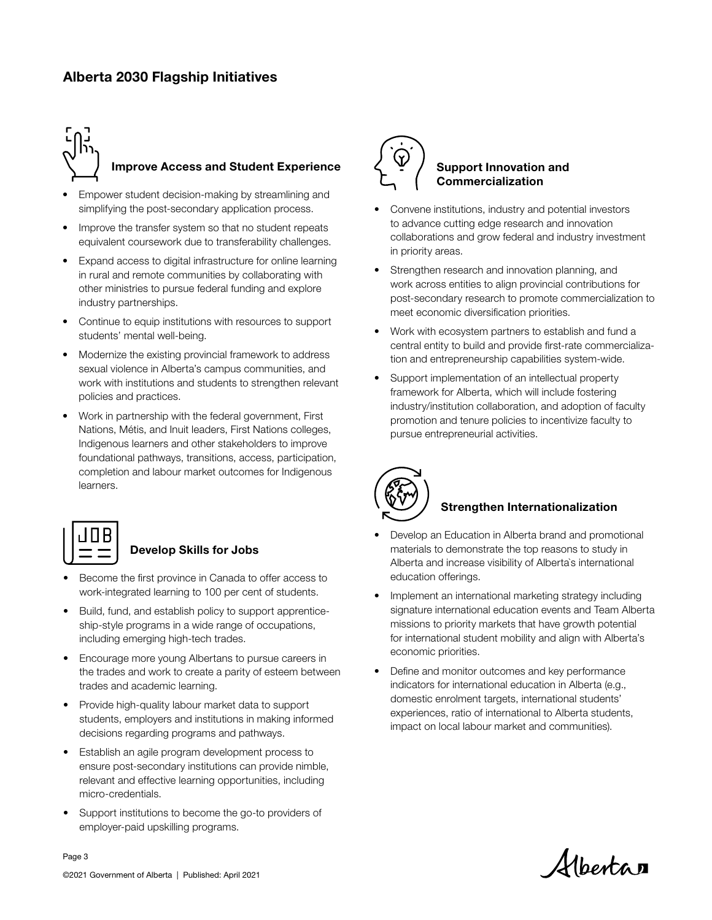## Alberta 2030 Flagship Initiatives

# Improve Access and Student Experience

- Empower student decision-making by streamlining and simplifying the post-secondary application process.
- Improve the transfer system so that no student repeats equivalent coursework due to transferability challenges.
- Expand access to digital infrastructure for online learning in rural and remote communities by collaborating with other ministries to pursue federal funding and explore industry partnerships.
- Continue to equip institutions with resources to support students' mental well-being.
- Modernize the existing provincial framework to address sexual violence in Alberta's campus communities, and work with institutions and students to strengthen relevant policies and practices.
- Work in partnership with the federal government, First Nations, Métis, and Inuit leaders, First Nations colleges, Indigenous learners and other stakeholders to improve foundational pathways, transitions, access, participation, completion and labour market outcomes for Indigenous learners.



## Develop Skills for Jobs

- Become the first province in Canada to offer access to work-integrated learning to 100 per cent of students.
- Build, fund, and establish policy to support apprenticeship-style programs in a wide range of occupations, including emerging high-tech trades.
- Encourage more young Albertans to pursue careers in the trades and work to create a parity of esteem between trades and academic learning.
- Provide high-quality labour market data to support students, employers and institutions in making informed decisions regarding programs and pathways.
- Establish an agile program development process to ensure post-secondary institutions can provide nimble, relevant and effective learning opportunities, including micro-credentials.
- Support institutions to become the go-to providers of employer-paid upskilling programs.



#### Support Innovation and Commercialization

- Convene institutions, industry and potential investors to advance cutting edge research and innovation collaborations and grow federal and industry investment in priority areas.
- Strengthen research and innovation planning, and work across entities to align provincial contributions for post-secondary research to promote commercialization to meet economic diversification priorities.
- Work with ecosystem partners to establish and fund a central entity to build and provide first-rate commercialization and entrepreneurship capabilities system-wide.
- Support implementation of an intellectual property framework for Alberta, which will include fostering industry/institution collaboration, and adoption of faculty promotion and tenure policies to incentivize faculty to pursue entrepreneurial activities.



#### Strengthen Internationalization

- Develop an Education in Alberta brand and promotional materials to demonstrate the top reasons to study in Alberta and increase visibility of Alberta`s international education offerings.
- Implement an international marketing strategy including signature international education events and Team Alberta missions to priority markets that have growth potential for international student mobility and align with Alberta's economic priorities.
- Define and monitor outcomes and key performance indicators for international education in Alberta (e.g., domestic enrolment targets, international students' experiences, ratio of international to Alberta students, impact on local labour market and communities).

Hbertan

Page 3